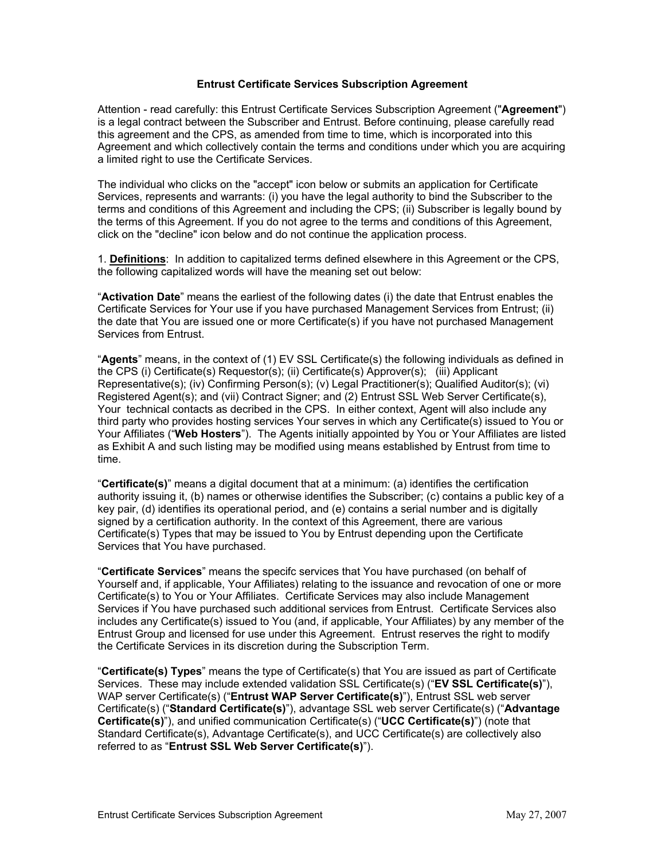### **Entrust Certificate Services Subscription Agreement**

Attention - read carefully: this Entrust Certificate Services Subscription Agreement ("**Agreement**") is a legal contract between the Subscriber and Entrust. Before continuing, please carefully read this agreement and the CPS, as amended from time to time, which is incorporated into this Agreement and which collectively contain the terms and conditions under which you are acquiring a limited right to use the Certificate Services.

The individual who clicks on the "accept" icon below or submits an application for Certificate Services, represents and warrants: (i) you have the legal authority to bind the Subscriber to the terms and conditions of this Agreement and including the CPS; (ii) Subscriber is legally bound by the terms of this Agreement. If you do not agree to the terms and conditions of this Agreement, click on the "decline" icon below and do not continue the application process.

1. **Definitions**: In addition to capitalized terms defined elsewhere in this Agreement or the CPS, the following capitalized words will have the meaning set out below:

"**Activation Date**" means the earliest of the following dates (i) the date that Entrust enables the Certificate Services for Your use if you have purchased Management Services from Entrust; (ii) the date that You are issued one or more Certificate(s) if you have not purchased Management Services from Entrust.

"**Agents**" means, in the context of (1) EV SSL Certificate(s) the following individuals as defined in the CPS (i) Certificate(s) Requestor(s); (ii) Certificate(s) Approver(s); (iii) Applicant Representative(s); (iv) Confirming Person(s); (v) Legal Practitioner(s); Qualified Auditor(s); (vi) Registered Agent(s); and (vii) Contract Signer; and (2) Entrust SSL Web Server Certificate(s), Your technical contacts as decribed in the CPS. In either context, Agent will also include any third party who provides hosting services Your serves in which any Certificate(s) issued to You or Your Affiliates ("**Web Hosters**"). The Agents initially appointed by You or Your Affiliates are listed as Exhibit A and such listing may be modified using means established by Entrust from time to time.

"**Certificate(s)**" means a digital document that at a minimum: (a) identifies the certification authority issuing it, (b) names or otherwise identifies the Subscriber; (c) contains a public key of a key pair, (d) identifies its operational period, and (e) contains a serial number and is digitally signed by a certification authority. In the context of this Agreement, there are various Certificate(s) Types that may be issued to You by Entrust depending upon the Certificate Services that You have purchased.

"**Certificate Services**" means the specifc services that You have purchased (on behalf of Yourself and, if applicable, Your Affiliates) relating to the issuance and revocation of one or more Certificate(s) to You or Your Affiliates. Certificate Services may also include Management Services if You have purchased such additional services from Entrust. Certificate Services also includes any Certificate(s) issued to You (and, if applicable, Your Affiliates) by any member of the Entrust Group and licensed for use under this Agreement. Entrust reserves the right to modify the Certificate Services in its discretion during the Subscription Term.

"**Certificate(s) Types**" means the type of Certificate(s) that You are issued as part of Certificate Services. These may include extended validation SSL Certificate(s) ("**EV SSL Certificate(s)**"), WAP server Certificate(s) ("**Entrust WAP Server Certificate(s)**"), Entrust SSL web server Certificate(s) ("**Standard Certificate(s)**"), advantage SSL web server Certificate(s) ("**Advantage Certificate(s)**"), and unified communication Certificate(s) ("**UCC Certificate(s)**") (note that Standard Certificate(s), Advantage Certificate(s), and UCC Certificate(s) are collectively also referred to as "**Entrust SSL Web Server Certificate(s)**").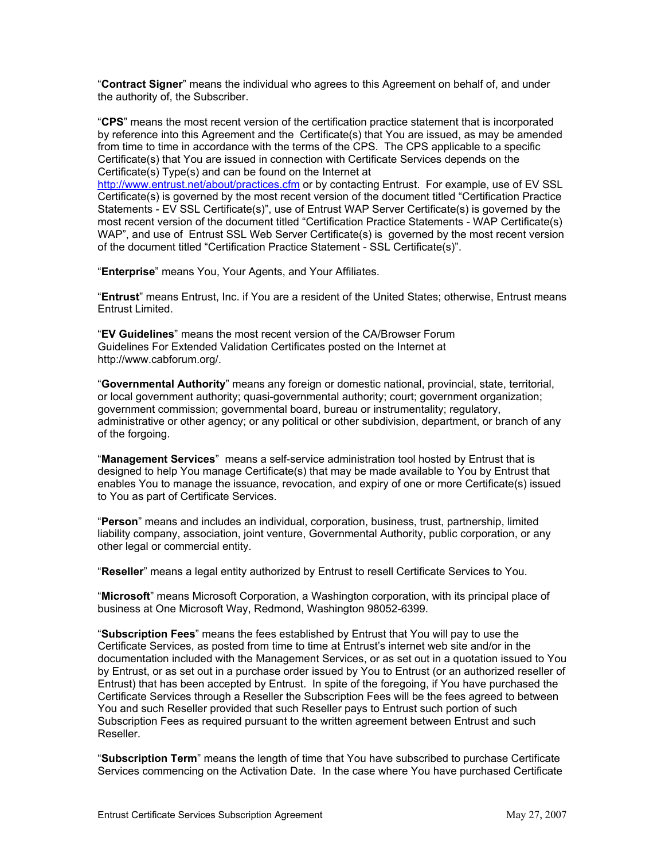"**Contract Signer**" means the individual who agrees to this Agreement on behalf of, and under the authority of, the Subscriber.

"**CPS**" means the most recent version of the certification practice statement that is incorporated by reference into this Agreement and the Certificate(s) that You are issued, as may be amended from time to time in accordance with the terms of the CPS. The CPS applicable to a specific Certificate(s) that You are issued in connection with Certificate Services depends on the Certificate(s) Type(s) and can be found on the Internet at

<http://www.entrust.net/about/practices.cfm> or by contacting Entrust. For example, use of EV SSL Certificate(s) is governed by the most recent version of the document titled "Certification Practice Statements - EV SSL Certificate(s)", use of Entrust WAP Server Certificate(s) is governed by the most recent version of the document titled "Certification Practice Statements - WAP Certificate(s) WAP", and use of Entrust SSL Web Server Certificate(s) is governed by the most recent version of the document titled "Certification Practice Statement - SSL Certificate(s)".

"**Enterprise**" means You, Your Agents, and Your Affiliates.

"**Entrust**" means Entrust, Inc. if You are a resident of the United States; otherwise, Entrust means Entrust Limited.

"**EV Guidelines**" means the most recent version of the CA/Browser Forum Guidelines For Extended Validation Certificates posted on the Internet at http://www.cabforum.org/.

"**Governmental Authority**" means any foreign or domestic national, provincial, state, territorial, or local government authority; quasi-governmental authority; court; government organization; government commission; governmental board, bureau or instrumentality; regulatory, administrative or other agency; or any political or other subdivision, department, or branch of any of the forgoing.

"**Management Services**" means a self-service administration tool hosted by Entrust that is designed to help You manage Certificate(s) that may be made available to You by Entrust that enables You to manage the issuance, revocation, and expiry of one or more Certificate(s) issued to You as part of Certificate Services.

"**Person**" means and includes an individual, corporation, business, trust, partnership, limited liability company, association, joint venture, Governmental Authority, public corporation, or any other legal or commercial entity.

"**Reseller**" means a legal entity authorized by Entrust to resell Certificate Services to You.

"**Microsoft**" means Microsoft Corporation, a Washington corporation, with its principal place of business at One Microsoft Way, Redmond, Washington 98052-6399.

"**Subscription Fees**" means the fees established by Entrust that You will pay to use the Certificate Services, as posted from time to time at Entrust's internet web site and/or in the documentation included with the Management Services, or as set out in a quotation issued to You by Entrust, or as set out in a purchase order issued by You to Entrust (or an authorized reseller of Entrust) that has been accepted by Entrust. In spite of the foregoing, if You have purchased the Certificate Services through a Reseller the Subscription Fees will be the fees agreed to between You and such Reseller provided that such Reseller pays to Entrust such portion of such Subscription Fees as required pursuant to the written agreement between Entrust and such Reseller.

"**Subscription Term**" means the length of time that You have subscribed to purchase Certificate Services commencing on the Activation Date. In the case where You have purchased Certificate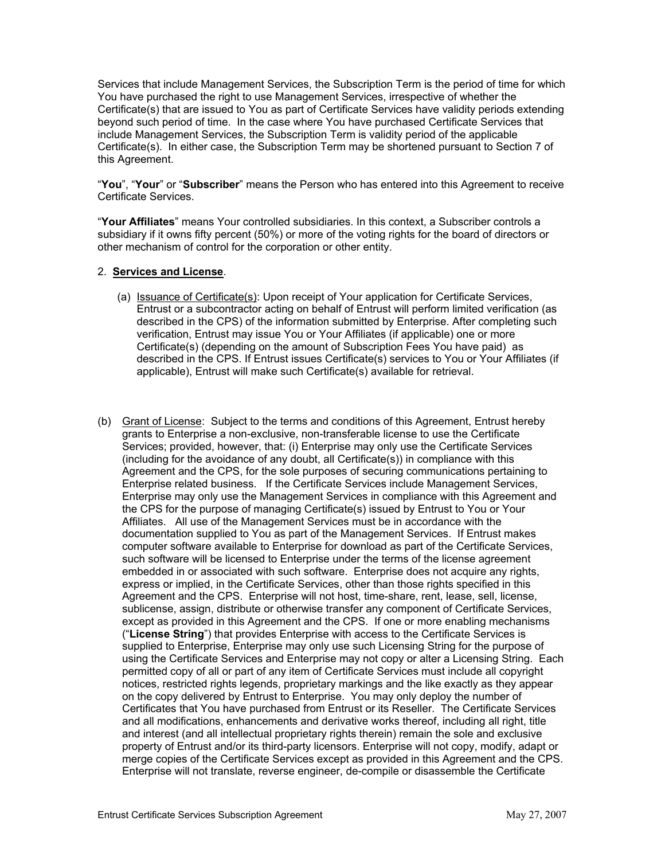Services that include Management Services, the Subscription Term is the period of time for which You have purchased the right to use Management Services, irrespective of whether the Certificate(s) that are issued to You as part of Certificate Services have validity periods extending beyond such period of time. In the case where You have purchased Certificate Services that include Management Services, the Subscription Term is validity period of the applicable Certificate(s). In either case, the Subscription Term may be shortened pursuant to Section 7 of this Agreement.

"**You**", "**Your**" or "**Subscriber**" means the Person who has entered into this Agreement to receive Certificate Services.

"**Your Affiliates**" means Your controlled subsidiaries. In this context, a Subscriber controls a subsidiary if it owns fifty percent (50%) or more of the voting rights for the board of directors or other mechanism of control for the corporation or other entity.

### 2. **Services and License**.

- (a) Issuance of Certificate(s): Upon receipt of Your application for Certificate Services, Entrust or a subcontractor acting on behalf of Entrust will perform limited verification (as described in the CPS) of the information submitted by Enterprise. After completing such verification, Entrust may issue You or Your Affiliates (if applicable) one or more Certificate(s) (depending on the amount of Subscription Fees You have paid) as described in the CPS. If Entrust issues Certificate(s) services to You or Your Affiliates (if applicable), Entrust will make such Certificate(s) available for retrieval.
- (b) Grant of License: Subject to the terms and conditions of this Agreement, Entrust hereby grants to Enterprise a non-exclusive, non-transferable license to use the Certificate Services; provided, however, that: (i) Enterprise may only use the Certificate Services (including for the avoidance of any doubt, all Certificate(s)) in compliance with this Agreement and the CPS, for the sole purposes of securing communications pertaining to Enterprise related business. If the Certificate Services include Management Services, Enterprise may only use the Management Services in compliance with this Agreement and the CPS for the purpose of managing Certificate(s) issued by Entrust to You or Your Affiliates. All use of the Management Services must be in accordance with the documentation supplied to You as part of the Management Services. If Entrust makes computer software available to Enterprise for download as part of the Certificate Services, such software will be licensed to Enterprise under the terms of the license agreement embedded in or associated with such software. Enterprise does not acquire any rights, express or implied, in the Certificate Services, other than those rights specified in this Agreement and the CPS. Enterprise will not host, time-share, rent, lease, sell, license, sublicense, assign, distribute or otherwise transfer any component of Certificate Services, except as provided in this Agreement and the CPS. If one or more enabling mechanisms ("**License String**") that provides Enterprise with access to the Certificate Services is supplied to Enterprise, Enterprise may only use such Licensing String for the purpose of using the Certificate Services and Enterprise may not copy or alter a Licensing String. Each permitted copy of all or part of any item of Certificate Services must include all copyright notices, restricted rights legends, proprietary markings and the like exactly as they appear on the copy delivered by Entrust to Enterprise. You may only deploy the number of Certificates that You have purchased from Entrust or its Reseller. The Certificate Services and all modifications, enhancements and derivative works thereof, including all right, title and interest (and all intellectual proprietary rights therein) remain the sole and exclusive property of Entrust and/or its third-party licensors. Enterprise will not copy, modify, adapt or merge copies of the Certificate Services except as provided in this Agreement and the CPS. Enterprise will not translate, reverse engineer, de-compile or disassemble the Certificate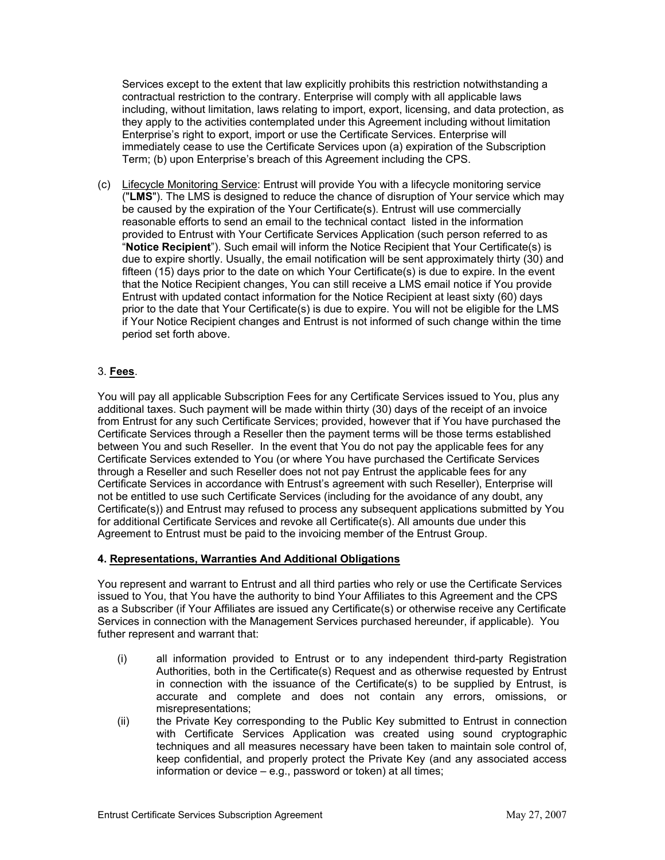Services except to the extent that law explicitly prohibits this restriction notwithstanding a contractual restriction to the contrary. Enterprise will comply with all applicable laws including, without limitation, laws relating to import, export, licensing, and data protection, as they apply to the activities contemplated under this Agreement including without limitation Enterprise's right to export, import or use the Certificate Services. Enterprise will immediately cease to use the Certificate Services upon (a) expiration of the Subscription Term; (b) upon Enterprise's breach of this Agreement including the CPS.

(c) Lifecycle Monitoring Service: Entrust will provide You with a lifecycle monitoring service ("**LMS**"). The LMS is designed to reduce the chance of disruption of Your service which may be caused by the expiration of the Your Certificate(s). Entrust will use commercially reasonable efforts to send an email to the technical contact listed in the information provided to Entrust with Your Certificate Services Application (such person referred to as "**Notice Recipient**"). Such email will inform the Notice Recipient that Your Certificate(s) is due to expire shortly. Usually, the email notification will be sent approximately thirty (30) and fifteen (15) days prior to the date on which Your Certificate(s) is due to expire. In the event that the Notice Recipient changes, You can still receive a LMS email notice if You provide Entrust with updated contact information for the Notice Recipient at least sixty (60) days prior to the date that Your Certificate(s) is due to expire. You will not be eligible for the LMS if Your Notice Recipient changes and Entrust is not informed of such change within the time period set forth above.

# 3. **Fees**.

You will pay all applicable Subscription Fees for any Certificate Services issued to You, plus any additional taxes. Such payment will be made within thirty (30) days of the receipt of an invoice from Entrust for any such Certificate Services; provided, however that if You have purchased the Certificate Services through a Reseller then the payment terms will be those terms established between You and such Reseller. In the event that You do not pay the applicable fees for any Certificate Services extended to You (or where You have purchased the Certificate Services through a Reseller and such Reseller does not not pay Entrust the applicable fees for any Certificate Services in accordance with Entrust's agreement with such Reseller), Enterprise will not be entitled to use such Certificate Services (including for the avoidance of any doubt, any Certificate(s)) and Entrust may refused to process any subsequent applications submitted by You for additional Certificate Services and revoke all Certificate(s). All amounts due under this Agreement to Entrust must be paid to the invoicing member of the Entrust Group.

# **4. Representations, Warranties And Additional Obligations**

You represent and warrant to Entrust and all third parties who rely or use the Certificate Services issued to You, that You have the authority to bind Your Affiliates to this Agreement and the CPS as a Subscriber (if Your Affiliates are issued any Certificate(s) or otherwise receive any Certificate Services in connection with the Management Services purchased hereunder, if applicable). You futher represent and warrant that:

- (i) all information provided to Entrust or to any independent third-party Registration Authorities, both in the Certificate(s) Request and as otherwise requested by Entrust in connection with the issuance of the Certificate(s) to be supplied by Entrust, is accurate and complete and does not contain any errors, omissions, or misrepresentations;
- (ii) the Private Key corresponding to the Public Key submitted to Entrust in connection with Certificate Services Application was created using sound cryptographic techniques and all measures necessary have been taken to maintain sole control of, keep confidential, and properly protect the Private Key (and any associated access information or device – e.g., password or token) at all times;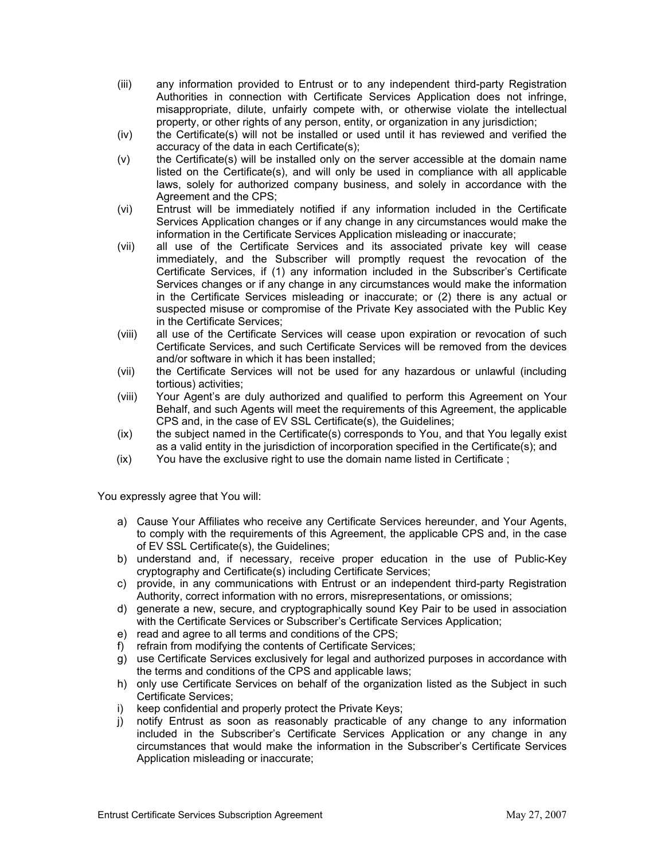- (iii) any information provided to Entrust or to any independent third-party Registration Authorities in connection with Certificate Services Application does not infringe, misappropriate, dilute, unfairly compete with, or otherwise violate the intellectual property, or other rights of any person, entity, or organization in any jurisdiction;
- (iv) the Certificate(s) will not be installed or used until it has reviewed and verified the accuracy of the data in each Certificate(s);
- (v) the Certificate(s) will be installed only on the server accessible at the domain name listed on the Certificate(s), and will only be used in compliance with all applicable laws, solely for authorized company business, and solely in accordance with the Agreement and the CPS;
- (vi) Entrust will be immediately notified if any information included in the Certificate Services Application changes or if any change in any circumstances would make the information in the Certificate Services Application misleading or inaccurate;
- (vii) all use of the Certificate Services and its associated private key will cease immediately, and the Subscriber will promptly request the revocation of the Certificate Services, if (1) any information included in the Subscriber's Certificate Services changes or if any change in any circumstances would make the information in the Certificate Services misleading or inaccurate; or (2) there is any actual or suspected misuse or compromise of the Private Key associated with the Public Key in the Certificate Services;
- (viii) all use of the Certificate Services will cease upon expiration or revocation of such Certificate Services, and such Certificate Services will be removed from the devices and/or software in which it has been installed;
- (vii) the Certificate Services will not be used for any hazardous or unlawful (including tortious) activities;
- (viii) Your Agent's are duly authorized and qualified to perform this Agreement on Your Behalf, and such Agents will meet the requirements of this Agreement, the applicable CPS and, in the case of EV SSL Certificate(s), the Guidelines;
- (ix) the subject named in the Certificate(s) corresponds to You, and that You legally exist as a valid entity in the jurisdiction of incorporation specified in the Certificate(s); and
- (ix) You have the exclusive right to use the domain name listed in Certificate ;

You expressly agree that You will:

- a) Cause Your Affiliates who receive any Certificate Services hereunder, and Your Agents, to comply with the requirements of this Agreement, the applicable CPS and, in the case of EV SSL Certificate(s), the Guidelines;
- b) understand and, if necessary, receive proper education in the use of Public-Key cryptography and Certificate(s) including Certificate Services;
- c) provide, in any communications with Entrust or an independent third-party Registration Authority, correct information with no errors, misrepresentations, or omissions;
- d) generate a new, secure, and cryptographically sound Key Pair to be used in association with the Certificate Services or Subscriber's Certificate Services Application;
- e) read and agree to all terms and conditions of the CPS;
- f) refrain from modifying the contents of Certificate Services;
- g) use Certificate Services exclusively for legal and authorized purposes in accordance with the terms and conditions of the CPS and applicable laws;
- h) only use Certificate Services on behalf of the organization listed as the Subject in such Certificate Services;
- i) keep confidential and properly protect the Private Keys;
- j) notify Entrust as soon as reasonably practicable of any change to any information included in the Subscriber's Certificate Services Application or any change in any circumstances that would make the information in the Subscriber's Certificate Services Application misleading or inaccurate;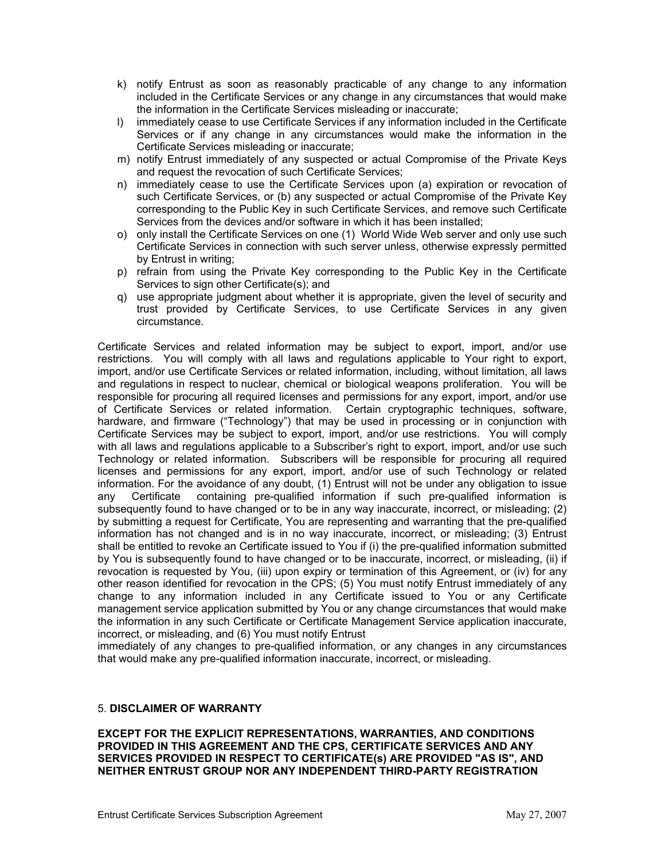- k) notify Entrust as soon as reasonably practicable of any change to any information included in the Certificate Services or any change in any circumstances that would make the information in the Certificate Services misleading or inaccurate;
- l) immediately cease to use Certificate Services if any information included in the Certificate Services or if any change in any circumstances would make the information in the Certificate Services misleading or inaccurate;
- m) notify Entrust immediately of any suspected or actual Compromise of the Private Keys and request the revocation of such Certificate Services;
- n) immediately cease to use the Certificate Services upon (a) expiration or revocation of such Certificate Services, or (b) any suspected or actual Compromise of the Private Key corresponding to the Public Key in such Certificate Services, and remove such Certificate Services from the devices and/or software in which it has been installed;
- o) only install the Certificate Services on one (1) World Wide Web server and only use such Certificate Services in connection with such server unless, otherwise expressly permitted by Entrust in writing;
- p) refrain from using the Private Key corresponding to the Public Key in the Certificate Services to sign other Certificate(s); and
- q) use appropriate judgment about whether it is appropriate, given the level of security and trust provided by Certificate Services, to use Certificate Services in any given circumstance.

Certificate Services and related information may be subject to export, import, and/or use restrictions. You will comply with all laws and regulations applicable to Your right to export, import, and/or use Certificate Services or related information, including, without limitation, all laws and regulations in respect to nuclear, chemical or biological weapons proliferation. You will be responsible for procuring all required licenses and permissions for any export, import, and/or use of Certificate Services or related information. Certain cryptographic techniques, software, hardware, and firmware ("Technology") that may be used in processing or in conjunction with Certificate Services may be subject to export, import, and/or use restrictions. You will comply with all laws and regulations applicable to a Subscriber's right to export, import, and/or use such Technology or related information. Subscribers will be responsible for procuring all required licenses and permissions for any export, import, and/or use of such Technology or related information. For the avoidance of any doubt, (1) Entrust will not be under any obligation to issue any Certificate containing pre-qualified information if such pre-qualified information is subsequently found to have changed or to be in any way inaccurate, incorrect, or misleading; (2) by submitting a request for Certificate, You are representing and warranting that the pre-qualified information has not changed and is in no way inaccurate, incorrect, or misleading; (3) Entrust shall be entitled to revoke an Certificate issued to You if (i) the pre-qualified information submitted by You is subsequently found to have changed or to be inaccurate, incorrect, or misleading, (ii) if revocation is requested by You, (iii) upon expiry or termination of this Agreement, or (iv) for any other reason identified for revocation in the CPS; (5) You must notify Entrust immediately of any change to any information included in any Certificate issued to You or any Certificate management service application submitted by You or any change circumstances that would make the information in any such Certificate or Certificate Management Service application inaccurate, incorrect, or misleading, and (6) You must notify Entrust

immediately of any changes to pre-qualified information, or any changes in any circumstances that would make any pre-qualified information inaccurate, incorrect, or misleading.

### 5. **DISCLAIMER OF WARRANTY**

**EXCEPT FOR THE EXPLICIT REPRESENTATIONS, WARRANTIES, AND CONDITIONS PROVIDED IN THIS AGREEMENT AND THE CPS, CERTIFICATE SERVICES AND ANY SERVICES PROVIDED IN RESPECT TO CERTIFICATE(s) ARE PROVIDED "AS IS", AND NEITHER ENTRUST GROUP NOR ANY INDEPENDENT THIRD-PARTY REGISTRATION**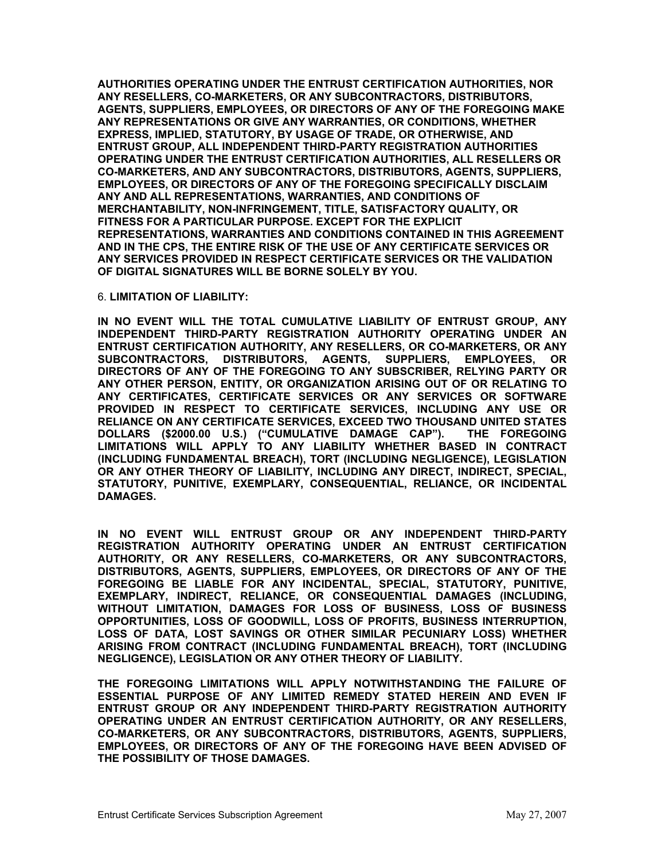**AUTHORITIES OPERATING UNDER THE ENTRUST CERTIFICATION AUTHORITIES, NOR ANY RESELLERS, CO-MARKETERS, OR ANY SUBCONTRACTORS, DISTRIBUTORS, AGENTS, SUPPLIERS, EMPLOYEES, OR DIRECTORS OF ANY OF THE FOREGOING MAKE ANY REPRESENTATIONS OR GIVE ANY WARRANTIES, OR CONDITIONS, WHETHER EXPRESS, IMPLIED, STATUTORY, BY USAGE OF TRADE, OR OTHERWISE, AND ENTRUST GROUP, ALL INDEPENDENT THIRD-PARTY REGISTRATION AUTHORITIES OPERATING UNDER THE ENTRUST CERTIFICATION AUTHORITIES, ALL RESELLERS OR CO-MARKETERS, AND ANY SUBCONTRACTORS, DISTRIBUTORS, AGENTS, SUPPLIERS, EMPLOYEES, OR DIRECTORS OF ANY OF THE FOREGOING SPECIFICALLY DISCLAIM ANY AND ALL REPRESENTATIONS, WARRANTIES, AND CONDITIONS OF MERCHANTABILITY, NON-INFRINGEMENT, TITLE, SATISFACTORY QUALITY, OR FITNESS FOR A PARTICULAR PURPOSE. EXCEPT FOR THE EXPLICIT REPRESENTATIONS, WARRANTIES AND CONDITIONS CONTAINED IN THIS AGREEMENT AND IN THE CPS, THE ENTIRE RISK OF THE USE OF ANY CERTIFICATE SERVICES OR ANY SERVICES PROVIDED IN RESPECT CERTIFICATE SERVICES OR THE VALIDATION OF DIGITAL SIGNATURES WILL BE BORNE SOLELY BY YOU.**

#### 6. **LIMITATION OF LIABILITY:**

**IN NO EVENT WILL THE TOTAL CUMULATIVE LIABILITY OF ENTRUST GROUP, ANY INDEPENDENT THIRD-PARTY REGISTRATION AUTHORITY OPERATING UNDER AN ENTRUST CERTIFICATION AUTHORITY, ANY RESELLERS, OR CO-MARKETERS, OR ANY SUBCONTRACTORS, DISTRIBUTORS, AGENTS, SUPPLIERS, EMPLOYEES, OR DIRECTORS OF ANY OF THE FOREGOING TO ANY SUBSCRIBER, RELYING PARTY OR ANY OTHER PERSON, ENTITY, OR ORGANIZATION ARISING OUT OF OR RELATING TO ANY CERTIFICATES, CERTIFICATE SERVICES OR ANY SERVICES OR SOFTWARE PROVIDED IN RESPECT TO CERTIFICATE SERVICES, INCLUDING ANY USE OR RELIANCE ON ANY CERTIFICATE SERVICES, EXCEED TWO THOUSAND UNITED STATES DOLLARS (\$2000.00 U.S.) ("CUMULATIVE DAMAGE CAP"). THE FOREGOING LIMITATIONS WILL APPLY TO ANY LIABILITY WHETHER BASED IN CONTRACT (INCLUDING FUNDAMENTAL BREACH), TORT (INCLUDING NEGLIGENCE), LEGISLATION OR ANY OTHER THEORY OF LIABILITY, INCLUDING ANY DIRECT, INDIRECT, SPECIAL, STATUTORY, PUNITIVE, EXEMPLARY, CONSEQUENTIAL, RELIANCE, OR INCIDENTAL DAMAGES.** 

**IN NO EVENT WILL ENTRUST GROUP OR ANY INDEPENDENT THIRD-PARTY REGISTRATION AUTHORITY OPERATING UNDER AN ENTRUST CERTIFICATION AUTHORITY, OR ANY RESELLERS, CO-MARKETERS, OR ANY SUBCONTRACTORS, DISTRIBUTORS, AGENTS, SUPPLIERS, EMPLOYEES, OR DIRECTORS OF ANY OF THE FOREGOING BE LIABLE FOR ANY INCIDENTAL, SPECIAL, STATUTORY, PUNITIVE, EXEMPLARY, INDIRECT, RELIANCE, OR CONSEQUENTIAL DAMAGES (INCLUDING, WITHOUT LIMITATION, DAMAGES FOR LOSS OF BUSINESS, LOSS OF BUSINESS OPPORTUNITIES, LOSS OF GOODWILL, LOSS OF PROFITS, BUSINESS INTERRUPTION, LOSS OF DATA, LOST SAVINGS OR OTHER SIMILAR PECUNIARY LOSS) WHETHER ARISING FROM CONTRACT (INCLUDING FUNDAMENTAL BREACH), TORT (INCLUDING NEGLIGENCE), LEGISLATION OR ANY OTHER THEORY OF LIABILITY.** 

**THE FOREGOING LIMITATIONS WILL APPLY NOTWITHSTANDING THE FAILURE OF ESSENTIAL PURPOSE OF ANY LIMITED REMEDY STATED HEREIN AND EVEN IF ENTRUST GROUP OR ANY INDEPENDENT THIRD-PARTY REGISTRATION AUTHORITY OPERATING UNDER AN ENTRUST CERTIFICATION AUTHORITY, OR ANY RESELLERS, CO-MARKETERS, OR ANY SUBCONTRACTORS, DISTRIBUTORS, AGENTS, SUPPLIERS, EMPLOYEES, OR DIRECTORS OF ANY OF THE FOREGOING HAVE BEEN ADVISED OF THE POSSIBILITY OF THOSE DAMAGES.**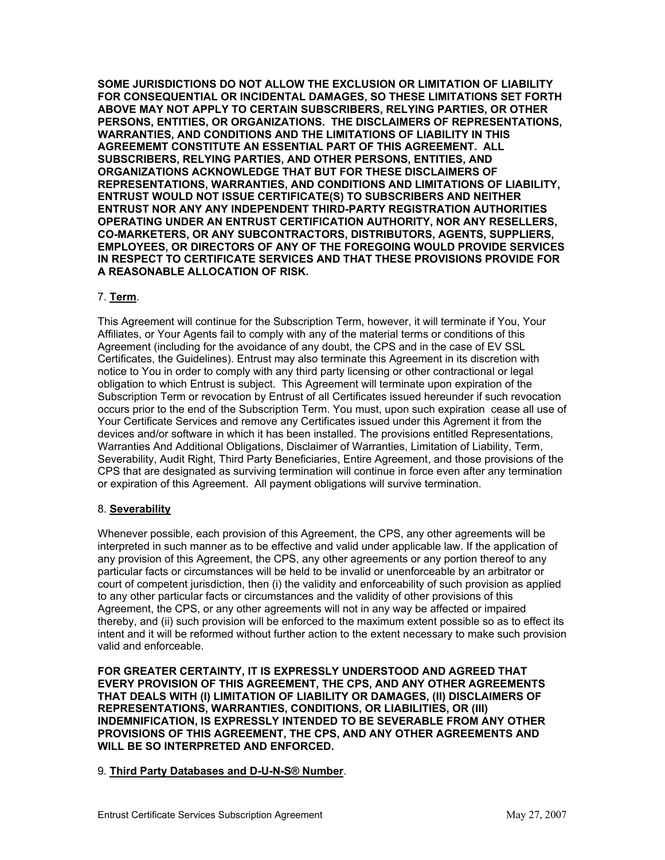**SOME JURISDICTIONS DO NOT ALLOW THE EXCLUSION OR LIMITATION OF LIABILITY FOR CONSEQUENTIAL OR INCIDENTAL DAMAGES, SO THESE LIMITATIONS SET FORTH ABOVE MAY NOT APPLY TO CERTAIN SUBSCRIBERS, RELYING PARTIES, OR OTHER PERSONS, ENTITIES, OR ORGANIZATIONS. THE DISCLAIMERS OF REPRESENTATIONS, WARRANTIES, AND CONDITIONS AND THE LIMITATIONS OF LIABILITY IN THIS AGREEMEMT CONSTITUTE AN ESSENTIAL PART OF THIS AGREEMENT. ALL SUBSCRIBERS, RELYING PARTIES, AND OTHER PERSONS, ENTITIES, AND ORGANIZATIONS ACKNOWLEDGE THAT BUT FOR THESE DISCLAIMERS OF REPRESENTATIONS, WARRANTIES, AND CONDITIONS AND LIMITATIONS OF LIABILITY, ENTRUST WOULD NOT ISSUE CERTIFICATE(S) TO SUBSCRIBERS AND NEITHER ENTRUST NOR ANY ANY INDEPENDENT THIRD-PARTY REGISTRATION AUTHORITIES OPERATING UNDER AN ENTRUST CERTIFICATION AUTHORITY, NOR ANY RESELLERS, CO-MARKETERS, OR ANY SUBCONTRACTORS, DISTRIBUTORS, AGENTS, SUPPLIERS, EMPLOYEES, OR DIRECTORS OF ANY OF THE FOREGOING WOULD PROVIDE SERVICES IN RESPECT TO CERTIFICATE SERVICES AND THAT THESE PROVISIONS PROVIDE FOR A REASONABLE ALLOCATION OF RISK.** 

### 7. **Term**.

This Agreement will continue for the Subscription Term, however, it will terminate if You, Your Affiliates, or Your Agents fail to comply with any of the material terms or conditions of this Agreement (including for the avoidance of any doubt, the CPS and in the case of EV SSL Certificates, the Guidelines). Entrust may also terminate this Agreement in its discretion with notice to You in order to comply with any third party licensing or other contractional or legal obligation to which Entrust is subject. This Agreement will terminate upon expiration of the Subscription Term or revocation by Entrust of all Certificates issued hereunder if such revocation occurs prior to the end of the Subscription Term. You must, upon such expiration cease all use of Your Certificate Services and remove any Certificates issued under this Agrement it from the devices and/or software in which it has been installed. The provisions entitled Representations, Warranties And Additional Obligations, Disclaimer of Warranties, Limitation of Liability, Term, Severability, Audit Right, Third Party Beneficiaries, Entire Agreement, and those provisions of the CPS that are designated as surviving termination will continue in force even after any termination or expiration of this Agreement. All payment obligations will survive termination.

### 8. **Severability**

Whenever possible, each provision of this Agreement, the CPS, any other agreements will be interpreted in such manner as to be effective and valid under applicable law. If the application of any provision of this Agreement, the CPS, any other agreements or any portion thereof to any particular facts or circumstances will be held to be invalid or unenforceable by an arbitrator or court of competent jurisdiction, then (i) the validity and enforceability of such provision as applied to any other particular facts or circumstances and the validity of other provisions of this Agreement, the CPS, or any other agreements will not in any way be affected or impaired thereby, and (ii) such provision will be enforced to the maximum extent possible so as to effect its intent and it will be reformed without further action to the extent necessary to make such provision valid and enforceable.

**FOR GREATER CERTAINTY, IT IS EXPRESSLY UNDERSTOOD AND AGREED THAT EVERY PROVISION OF THIS AGREEMENT, THE CPS, AND ANY OTHER AGREEMENTS THAT DEALS WITH (I) LIMITATION OF LIABILITY OR DAMAGES, (II) DISCLAIMERS OF REPRESENTATIONS, WARRANTIES, CONDITIONS, OR LIABILITIES, OR (III) INDEMNIFICATION, IS EXPRESSLY INTENDED TO BE SEVERABLE FROM ANY OTHER PROVISIONS OF THIS AGREEMENT, THE CPS, AND ANY OTHER AGREEMENTS AND WILL BE SO INTERPRETED AND ENFORCED.** 

### 9. **Third Party Databases and D-U-N-S® Number**.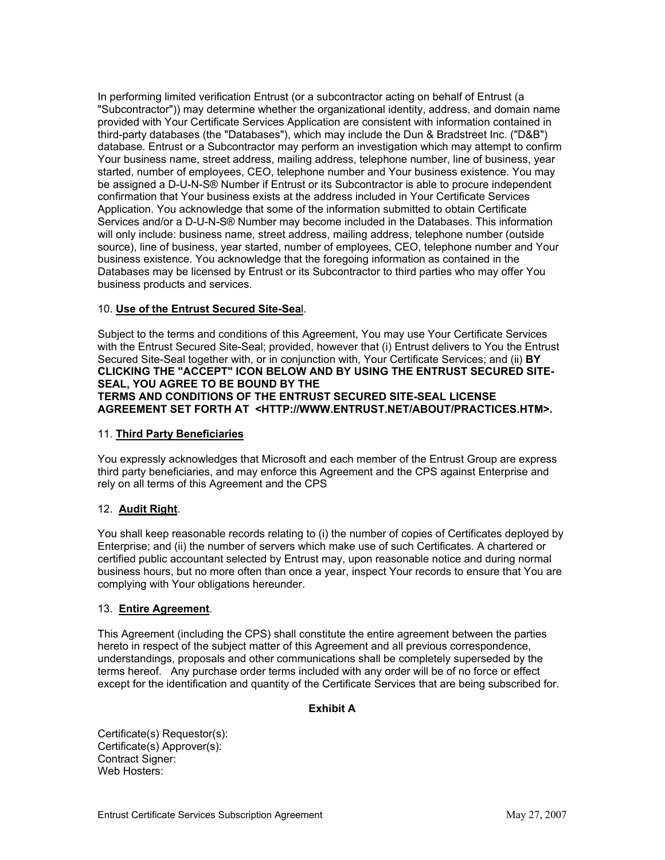In performing limited verification Entrust (or a subcontractor acting on behalf of Entrust (a "Subcontractor")) may determine whether the organizational identity, address, and domain name provided with Your Certificate Services Application are consistent with information contained in third-party databases (the "Databases"), which may include the Dun & Bradstreet Inc. ("D&B") database. Entrust or a Subcontractor may perform an investigation which may attempt to confirm Your business name, street address, mailing address, telephone number, line of business, year started, number of employees, CEO, telephone number and Your business existence. You may be assigned a D-U-N-S® Number if Entrust or its Subcontractor is able to procure independent confirmation that Your business exists at the address included in Your Certificate Services Application. You acknowledge that some of the information submitted to obtain Certificate Services and/or a D-U-N-S® Number may become included in the Databases. This information will only include: business name, street address, mailing address, telephone number (outside source), line of business, year started, number of employees, CEO, telephone number and Your business existence. You acknowledge that the foregoing information as contained in the Databases may be licensed by Entrust or its Subcontractor to third parties who may offer You business products and services.

# 10. **Use of the Entrust Secured Site-Sea**l.

Subject to the terms and conditions of this Agreement, You may use Your Certificate Services with the Entrust Secured Site-Seal; provided, however that (i) Entrust delivers to You the Entrust Secured Site-Seal together with, or in conjunction with, Your Certificate Services; and (ii) **BY CLICKING THE "ACCEPT" ICON BELOW AND BY USING THE ENTRUST SECURED SITE-SEAL, YOU AGREE TO BE BOUND BY THE TERMS AND CONDITIONS OF THE ENTRUST SECURED SITE-SEAL LICENSE AGREEMENT SET FORTH AT <HTTP://WWW.ENTRUST.NET/ABOUT/PRACTICES.HTM>.**

### 11. **Third Party Beneficiaries**

You expressly acknowledges that Microsoft and each member of the Entrust Group are express third party beneficiaries, and may enforce this Agreement and the CPS against Enterprise and rely on all terms of this Agreement and the CPS

# 12. **Audit Right**.

You shall keep reasonable records relating to (i) the number of copies of Certificates deployed by Enterprise; and (ii) the number of servers which make use of such Certificates. A chartered or certified public accountant selected by Entrust may, upon reasonable notice and during normal business hours, but no more often than once a year, inspect Your records to ensure that You are complying with Your obligations hereunder.

# 13. **Entire Agreement**.

This Agreement (including the CPS) shall constitute the entire agreement between the parties hereto in respect of the subject matter of this Agreement and all previous correspondence, understandings, proposals and other communications shall be completely superseded by the terms hereof. Any purchase order terms included with any order will be of no force or effect except for the identification and quantity of the Certificate Services that are being subscribed for.

# **Exhibit A**

Certificate(s) Requestor(s): Certificate(s) Approver(s): Contract Signer: Web Hosters: